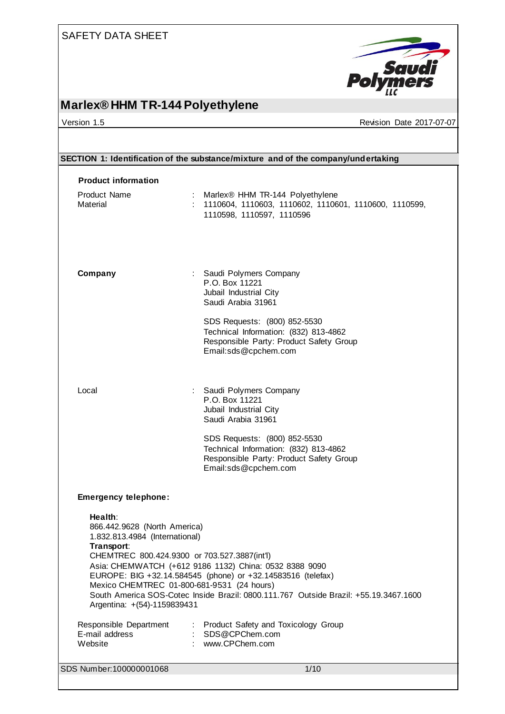

## **Marlex® HHM TR-144 Polyethylene**

version 1.5 Revision Date 2017-07-07

| <b>Product information</b><br><b>Product Name</b><br>: Marlex <sup>®</sup> HHM TR-144 Polyethylene<br>Material<br>: 1110604, 1110603, 1110602, 1110601, 1110600, 1110599,<br>1110598, 1110597, 1110596<br>Company<br>: Saudi Polymers Company<br>P.O. Box 11221<br>Jubail Industrial City<br>Saudi Arabia 31961<br>SDS Requests: (800) 852-5530<br>Technical Information: (832) 813-4862<br>Responsible Party: Product Safety Group<br>Email:sds@cpchem.com<br>Local<br>: Saudi Polymers Company<br>P.O. Box 11221<br>Jubail Industrial City<br>Saudi Arabia 31961<br>SDS Requests: (800) 852-5530<br>Technical Information: (832) 813-4862<br>Responsible Party: Product Safety Group<br>Email:sds@cpchem.com<br><b>Emergency telephone:</b><br>Health:<br>866.442.9628 (North America)<br>1.832.813.4984 (International)<br>Transport:<br>CHEMTREC 800.424.9300 or 703.527.3887(int'l)<br>Asia: CHEMWATCH (+612 9186 1132) China: 0532 8388 9090 | SECTION 1: Identification of the substance/mixture and of the company/undertaking |  |  |
|----------------------------------------------------------------------------------------------------------------------------------------------------------------------------------------------------------------------------------------------------------------------------------------------------------------------------------------------------------------------------------------------------------------------------------------------------------------------------------------------------------------------------------------------------------------------------------------------------------------------------------------------------------------------------------------------------------------------------------------------------------------------------------------------------------------------------------------------------------------------------------------------------------------------------------------------------|-----------------------------------------------------------------------------------|--|--|
|                                                                                                                                                                                                                                                                                                                                                                                                                                                                                                                                                                                                                                                                                                                                                                                                                                                                                                                                                    |                                                                                   |  |  |
|                                                                                                                                                                                                                                                                                                                                                                                                                                                                                                                                                                                                                                                                                                                                                                                                                                                                                                                                                    |                                                                                   |  |  |
|                                                                                                                                                                                                                                                                                                                                                                                                                                                                                                                                                                                                                                                                                                                                                                                                                                                                                                                                                    |                                                                                   |  |  |
|                                                                                                                                                                                                                                                                                                                                                                                                                                                                                                                                                                                                                                                                                                                                                                                                                                                                                                                                                    |                                                                                   |  |  |
|                                                                                                                                                                                                                                                                                                                                                                                                                                                                                                                                                                                                                                                                                                                                                                                                                                                                                                                                                    |                                                                                   |  |  |
|                                                                                                                                                                                                                                                                                                                                                                                                                                                                                                                                                                                                                                                                                                                                                                                                                                                                                                                                                    |                                                                                   |  |  |
| EUROPE: BIG +32.14.584545 (phone) or +32.14583516 (telefax)<br>Mexico CHEMTREC 01-800-681-9531 (24 hours)<br>South America SOS-Cotec Inside Brazil: 0800.111.767 Outside Brazil: +55.19.3467.1600<br>Argentina: +(54)-1159839431                                                                                                                                                                                                                                                                                                                                                                                                                                                                                                                                                                                                                                                                                                                   |                                                                                   |  |  |
| Responsible Department<br>: Product Safety and Toxicology Group<br>E-mail address<br>SDS@CPChem.com<br>Website<br>www.CPChem.com                                                                                                                                                                                                                                                                                                                                                                                                                                                                                                                                                                                                                                                                                                                                                                                                                   |                                                                                   |  |  |
| SDS Number: 100000001068<br>1/10                                                                                                                                                                                                                                                                                                                                                                                                                                                                                                                                                                                                                                                                                                                                                                                                                                                                                                                   |                                                                                   |  |  |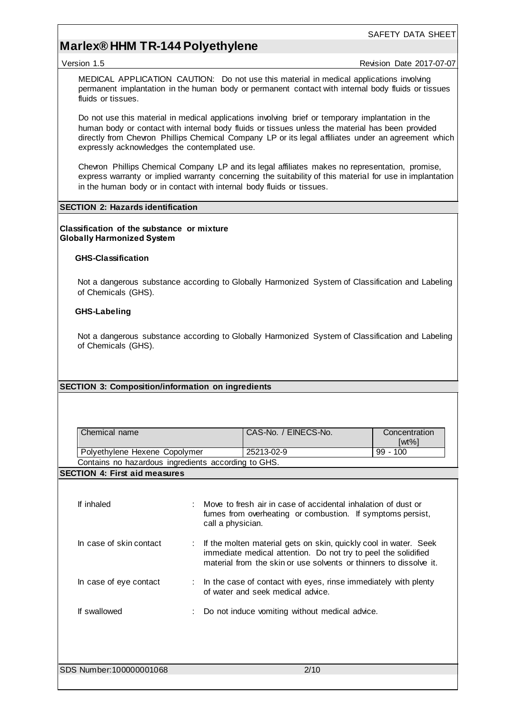### **Marlex® HHM TR-144 Polyethylene**

#### Version 1.5 **All 2017-07-07** Version Date 2017-07-07

MEDICAL APPLICATION CAUTION: Do not use this material in medical applications involving permanent implantation in the human body or permanent contact with internal body fluids or tissues fluids or tissues.

Do not use this material in medical applications involving brief or temporary implantation in the human body or contact with internal body fluids or tissues unless the material has been provided directly from Chevron Phillips Chemical Company LP or its legal affiliates under an agreement which expressly acknowledges the contemplated use.

Chevron Phillips Chemical Company LP and its legal affiliates makes no representation, promise, express warranty or implied warranty concerning the suitability of this material for use in implantation in the human body or in contact with internal body fluids or tissues.

#### **SECTION 2: Hazards identification**

#### **Classification of the substance or mixture Globally Harmonized System**

#### **GHS-Classification**

Not a dangerous substance according to Globally Harmonized System of Classification and Labeling of Chemicals (GHS).

#### **GHS-Labeling**

Not a dangerous substance according to Globally Harmonized System of Classification and Labeling of Chemicals (GHS).

#### **SECTION 3: Composition/information on ingredients**

| CAS-No. / EINECS-No. | Concentration<br>[wt%]                              |
|----------------------|-----------------------------------------------------|
| 25213-02-9           | $99 - 100$                                          |
|                      | Contains no hazardous ingredients according to GHS. |

#### **SECTION 4: First aid measures**

| If inhaled              | Move to fresh air in case of accidental inhalation of dust or<br>fumes from overheating or combustion. If symptoms persist,<br>call a physician.                                                         |
|-------------------------|----------------------------------------------------------------------------------------------------------------------------------------------------------------------------------------------------------|
| In case of skin contact | If the molten material gets on skin, quickly cool in water. Seek<br>immediate medical attention. Do not try to peel the solidified<br>material from the skin or use solvents or thinners to dissolve it. |
| In case of eye contact  | In the case of contact with eyes, rinse immediately with plenty<br>of water and seek medical advice.                                                                                                     |
| If swallowed            | Do not induce vomiting without medical advice.                                                                                                                                                           |
|                         |                                                                                                                                                                                                          |

SDS Number:100000001068 2/10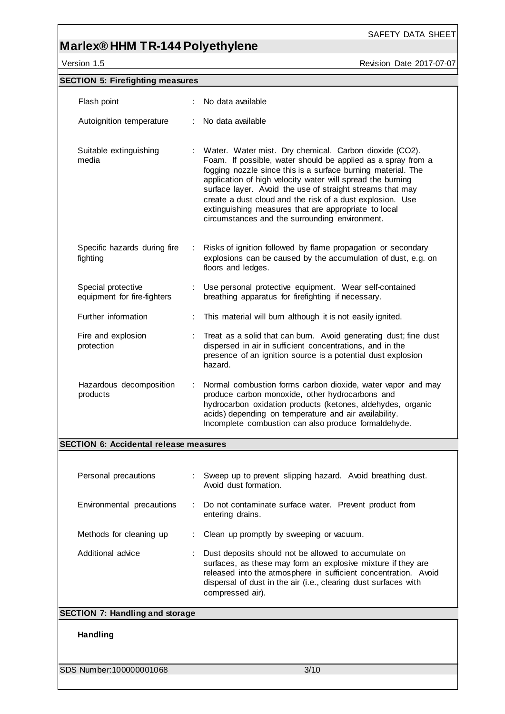# **Marlex® HHM TR-144 Polyethylene**

Version 1.5 Revision Date 2017-07-07

SAFETY DATA SHEET

| <b>SECTION 5: Firefighting measures</b>           |                                                                                                                                                                                                                                                                                                                                                                                                                                                                                            |
|---------------------------------------------------|--------------------------------------------------------------------------------------------------------------------------------------------------------------------------------------------------------------------------------------------------------------------------------------------------------------------------------------------------------------------------------------------------------------------------------------------------------------------------------------------|
|                                                   | No data available                                                                                                                                                                                                                                                                                                                                                                                                                                                                          |
| Flash point                                       |                                                                                                                                                                                                                                                                                                                                                                                                                                                                                            |
| Autoignition temperature<br>÷.                    | No data available                                                                                                                                                                                                                                                                                                                                                                                                                                                                          |
| Suitable extinguishing<br>media                   | : Water. Water mist. Dry chemical. Carbon dioxide (CO2).<br>Foam. If possible, water should be applied as a spray from a<br>fogging nozzle since this is a surface burning material. The<br>application of high velocity water will spread the burning<br>surface layer. Avoid the use of straight streams that may<br>create a dust cloud and the risk of a dust explosion. Use<br>extinguishing measures that are appropriate to local<br>circumstances and the surrounding environment. |
| Specific hazards during fire<br>fighting          | Risks of ignition followed by flame propagation or secondary<br>explosions can be caused by the accumulation of dust, e.g. on<br>floors and ledges.                                                                                                                                                                                                                                                                                                                                        |
| Special protective<br>equipment for fire-fighters | Use personal protective equipment. Wear self-contained<br>breathing apparatus for firefighting if necessary.                                                                                                                                                                                                                                                                                                                                                                               |
| Further information                               | This material will burn although it is not easily ignited.                                                                                                                                                                                                                                                                                                                                                                                                                                 |
| Fire and explosion<br>protection                  | Treat as a solid that can burn. Avoid generating dust; fine dust<br>dispersed in air in sufficient concentrations, and in the<br>presence of an ignition source is a potential dust explosion<br>hazard.                                                                                                                                                                                                                                                                                   |
| Hazardous decomposition<br>÷.<br>products         | Normal combustion forms carbon dioxide, water vapor and may<br>produce carbon monoxide, other hydrocarbons and<br>hydrocarbon oxidation products (ketones, aldehydes, organic<br>acids) depending on temperature and air availability.<br>Incomplete combustion can also produce formaldehyde.                                                                                                                                                                                             |
| <b>SECTION 6: Accidental release measures</b>     |                                                                                                                                                                                                                                                                                                                                                                                                                                                                                            |
|                                                   |                                                                                                                                                                                                                                                                                                                                                                                                                                                                                            |
| Personal precautions                              | : Sweep up to prevent slipping hazard. Avoid breathing dust.<br>Avoid dust formation.                                                                                                                                                                                                                                                                                                                                                                                                      |
| Environmental precautions                         | Do not contaminate surface water. Prevent product from<br>entering drains.                                                                                                                                                                                                                                                                                                                                                                                                                 |
| Methods for cleaning up                           | Clean up promptly by sweeping or vacuum.                                                                                                                                                                                                                                                                                                                                                                                                                                                   |
| Additional advice                                 | Dust deposits should not be allowed to accumulate on<br>surfaces, as these may form an explosive mixture if they are<br>released into the atmosphere in sufficient concentration. Avoid<br>dispersal of dust in the air (i.e., clearing dust surfaces with<br>compressed air).                                                                                                                                                                                                             |
| <b>SECTION 7: Handling and storage</b>            |                                                                                                                                                                                                                                                                                                                                                                                                                                                                                            |
| Handling                                          |                                                                                                                                                                                                                                                                                                                                                                                                                                                                                            |
| SDS Number:100000001068                           | 3/10                                                                                                                                                                                                                                                                                                                                                                                                                                                                                       |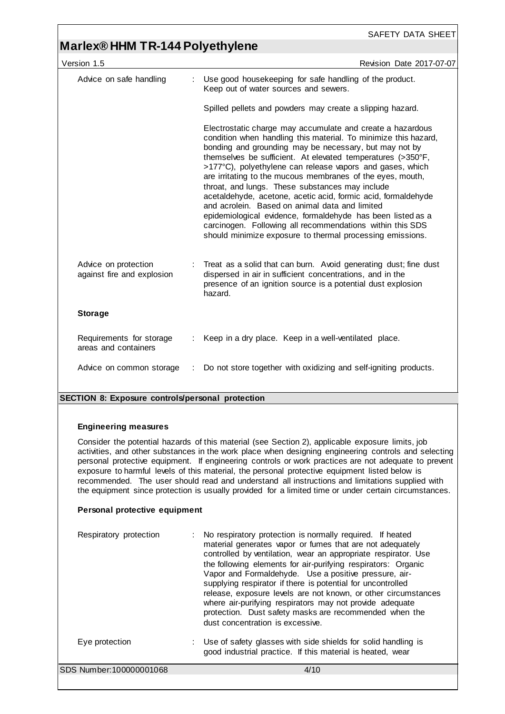## **Marlex® HHM TR-144 Polyethylene**

| Version 1.5                                        |   | Revision Date 2017-07-07                                                                                                                                                                                                                                                                                                                                                                                                                                                                                                                                                                                                                                                                                                                         |
|----------------------------------------------------|---|--------------------------------------------------------------------------------------------------------------------------------------------------------------------------------------------------------------------------------------------------------------------------------------------------------------------------------------------------------------------------------------------------------------------------------------------------------------------------------------------------------------------------------------------------------------------------------------------------------------------------------------------------------------------------------------------------------------------------------------------------|
| Advice on safe handling                            | ÷ | Use good housekeeping for safe handling of the product.<br>Keep out of water sources and sewers.                                                                                                                                                                                                                                                                                                                                                                                                                                                                                                                                                                                                                                                 |
|                                                    |   | Spilled pellets and powders may create a slipping hazard.                                                                                                                                                                                                                                                                                                                                                                                                                                                                                                                                                                                                                                                                                        |
|                                                    |   | Electrostatic charge may accumulate and create a hazardous<br>condition when handling this material. To minimize this hazard,<br>bonding and grounding may be necessary, but may not by<br>themselves be sufficient. At elevated temperatures (>350°F,<br>>177°C), polyethylene can release vapors and gases, which<br>are irritating to the mucous membranes of the eyes, mouth,<br>throat, and lungs. These substances may include<br>acetaldehyde, acetone, acetic acid, formic acid, formaldehyde<br>and acrolein. Based on animal data and limited<br>epidemiological evidence, formaldehyde has been listed as a<br>carcinogen. Following all recommendations within this SDS<br>should minimize exposure to thermal processing emissions. |
| Advice on protection<br>against fire and explosion |   | Treat as a solid that can burn. Avoid generating dust; fine dust<br>dispersed in air in sufficient concentrations, and in the<br>presence of an ignition source is a potential dust explosion<br>hazard.                                                                                                                                                                                                                                                                                                                                                                                                                                                                                                                                         |
| <b>Storage</b>                                     |   |                                                                                                                                                                                                                                                                                                                                                                                                                                                                                                                                                                                                                                                                                                                                                  |
| Requirements for storage<br>areas and containers   |   | Keep in a dry place. Keep in a well-ventilated place.                                                                                                                                                                                                                                                                                                                                                                                                                                                                                                                                                                                                                                                                                            |
| Advice on common storage                           |   | Do not store together with oxidizing and self-igniting products.                                                                                                                                                                                                                                                                                                                                                                                                                                                                                                                                                                                                                                                                                 |
|                                                    |   |                                                                                                                                                                                                                                                                                                                                                                                                                                                                                                                                                                                                                                                                                                                                                  |

#### **SECTION 8: Exposure controls/personal protection**

#### **Engineering measures**

Consider the potential hazards of this material (see Section 2), applicable exposure limits, job activities, and other substances in the work place when designing engineering controls and selecting personal protective equipment. If engineering controls or work practices are not adequate to prevent exposure to harmful levels of this material, the personal protective equipment listed below is recommended. The user should read and understand all instructions and limitations supplied with the equipment since protection is usually provided for a limited time or under certain circumstances.

#### **Personal protective equipment**

| Respiratory protection  | : No respiratory protection is normally required. If heated<br>material generates vapor or fumes that are not adequately<br>controlled by ventilation, wear an appropriate respirator. Use<br>the following elements for air-purifying respirators: Organic<br>Vapor and Formaldehyde. Use a positive pressure, air-<br>supplying respirator if there is potential for uncontrolled<br>release, exposure levels are not known, or other circumstances<br>where air-purifying respirators may not provide adequate<br>protection. Dust safety masks are recommended when the<br>dust concentration is excessive. |
|-------------------------|-----------------------------------------------------------------------------------------------------------------------------------------------------------------------------------------------------------------------------------------------------------------------------------------------------------------------------------------------------------------------------------------------------------------------------------------------------------------------------------------------------------------------------------------------------------------------------------------------------------------|
| Eye protection          | : Use of safety glasses with side shields for solid handling is<br>good industrial practice. If this material is heated, wear                                                                                                                                                                                                                                                                                                                                                                                                                                                                                   |
| SDS Number:100000001068 | 4/10                                                                                                                                                                                                                                                                                                                                                                                                                                                                                                                                                                                                            |
|                         |                                                                                                                                                                                                                                                                                                                                                                                                                                                                                                                                                                                                                 |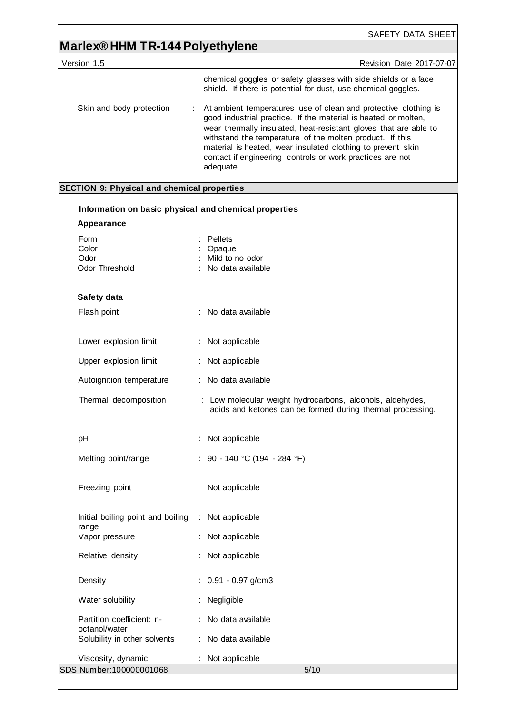# **Marlex® HHM TR-144 Polyethylene**

Version 1.5

|  | <b>Revision Date 2017-07-07</b> |
|--|---------------------------------|
|  |                                 |

| chemical goggles or safety glasses with side shields or a face |  |
|----------------------------------------------------------------|--|
| shield. If there is potential for dust, use chemical goggles.  |  |

| Skin and body protection |  | : At ambient temperatures use of clean and protective clothing is<br>good industrial practice. If the material is heated or molten,<br>wear thermally insulated, heat-resistant gloves that are able to<br>withstand the temperature of the molten product. If this<br>material is heated, wear insulated clothing to prevent skin<br>contact if engineering controls or work practices are not<br>adequate. |
|--------------------------|--|--------------------------------------------------------------------------------------------------------------------------------------------------------------------------------------------------------------------------------------------------------------------------------------------------------------------------------------------------------------------------------------------------------------|
|--------------------------|--|--------------------------------------------------------------------------------------------------------------------------------------------------------------------------------------------------------------------------------------------------------------------------------------------------------------------------------------------------------------------------------------------------------------|

## **SECTION 9: Physical and chemical properties**

| Information on basic physical and chemical properties |                                                                                                                         |  |
|-------------------------------------------------------|-------------------------------------------------------------------------------------------------------------------------|--|
| Appearance                                            |                                                                                                                         |  |
| Form<br>Color<br>Odor<br>Odor Threshold               | Pellets<br>÷<br>: Opaque<br>: Mild to no odor<br>: No data available                                                    |  |
| Safety data                                           |                                                                                                                         |  |
| Flash point                                           | : No data available                                                                                                     |  |
| Lower explosion limit                                 | : Not applicable                                                                                                        |  |
| Upper explosion limit                                 | : Not applicable                                                                                                        |  |
| Autoignition temperature                              | : No data available                                                                                                     |  |
| Thermal decomposition                                 | : Low molecular weight hydrocarbons, alcohols, aldehydes,<br>acids and ketones can be formed during thermal processing. |  |
| pH                                                    | : Not applicable                                                                                                        |  |
| Melting point/range                                   | : 90 - 140 °C (194 - 284 °F)                                                                                            |  |
| Freezing point                                        | Not applicable                                                                                                          |  |
| Initial boiling point and boiling<br>range            | : Not applicable                                                                                                        |  |
| Vapor pressure                                        | : Not applicable                                                                                                        |  |
| Relative density                                      | : Not applicable                                                                                                        |  |
| Density                                               | $: 0.91 - 0.97$ g/cm3                                                                                                   |  |
| Water solubility                                      | Negligible                                                                                                              |  |
| Partition coefficient: n-<br>octanol/water            | No data available                                                                                                       |  |
| Solubility in other solvents                          | No data available                                                                                                       |  |
| Viscosity, dynamic                                    | Not applicable                                                                                                          |  |
| SDS Number: 100000001068                              | 5/10                                                                                                                    |  |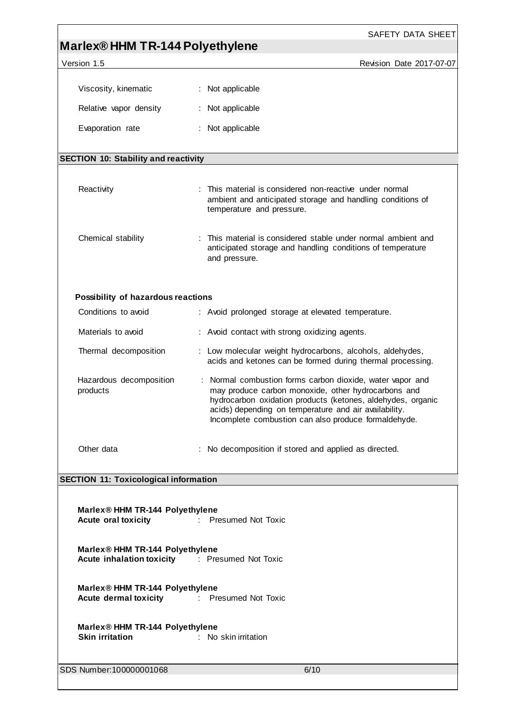|                                                                                   | SAFETY DATA SHEET                                                                                                                                                                                                                                                                                |
|-----------------------------------------------------------------------------------|--------------------------------------------------------------------------------------------------------------------------------------------------------------------------------------------------------------------------------------------------------------------------------------------------|
| Marlex® HHM TR-144 Polyethylene                                                   |                                                                                                                                                                                                                                                                                                  |
| Version 1.5                                                                       | Revision Date 2017-07-07                                                                                                                                                                                                                                                                         |
| Viscosity, kinematic                                                              | : Not applicable                                                                                                                                                                                                                                                                                 |
| Relative vapor density                                                            | : Not applicable                                                                                                                                                                                                                                                                                 |
| Evaporation rate                                                                  | : Not applicable                                                                                                                                                                                                                                                                                 |
| <b>SECTION 10: Stability and reactivity</b>                                       |                                                                                                                                                                                                                                                                                                  |
| Reactivity                                                                        | : This material is considered non-reactive under normal<br>ambient and anticipated storage and handling conditions of<br>temperature and pressure.                                                                                                                                               |
| Chemical stability                                                                | This material is considered stable under normal ambient and<br>anticipated storage and handling conditions of temperature<br>and pressure.                                                                                                                                                       |
| Possibility of hazardous reactions                                                |                                                                                                                                                                                                                                                                                                  |
| Conditions to avoid                                                               | : Avoid prolonged storage at elevated temperature.                                                                                                                                                                                                                                               |
| Materials to avoid                                                                | : Avoid contact with strong oxidizing agents.                                                                                                                                                                                                                                                    |
| Thermal decomposition                                                             | : Low molecular weight hydrocarbons, alcohols, aldehydes,<br>acids and ketones can be formed during thermal processing.                                                                                                                                                                          |
| Hazardous decomposition<br>products                                               | : Normal combustion forms carbon dioxide, water vapor and<br>may produce carbon monoxide, other hydrocarbons and<br>hydrocarbon oxidation products (ketones, aldehydes, organic<br>acids) depending on temperature and air availability.<br>Incomplete combustion can also produce formaldehyde. |
| Other data                                                                        | : No decomposition if stored and applied as directed.                                                                                                                                                                                                                                            |
| <b>SECTION 11: Toxicological information</b>                                      |                                                                                                                                                                                                                                                                                                  |
| Marlex® HHM TR-144 Polyethylene<br>Acute oral toxicity : Presumed Not Toxic       |                                                                                                                                                                                                                                                                                                  |
| Marlex® HHM TR-144 Polyethylene<br>Acute inhalation toxicity : Presumed Not Toxic |                                                                                                                                                                                                                                                                                                  |
| Marlex® HHM TR-144 Polyethylene<br>Acute dermal toxicity : Presumed Not Toxic     |                                                                                                                                                                                                                                                                                                  |
| Marlex® HHM TR-144 Polyethylene<br><b>Skin irritation</b>                         | : No skin irritation                                                                                                                                                                                                                                                                             |
| SDS Number:100000001068                                                           | 6/10                                                                                                                                                                                                                                                                                             |
|                                                                                   |                                                                                                                                                                                                                                                                                                  |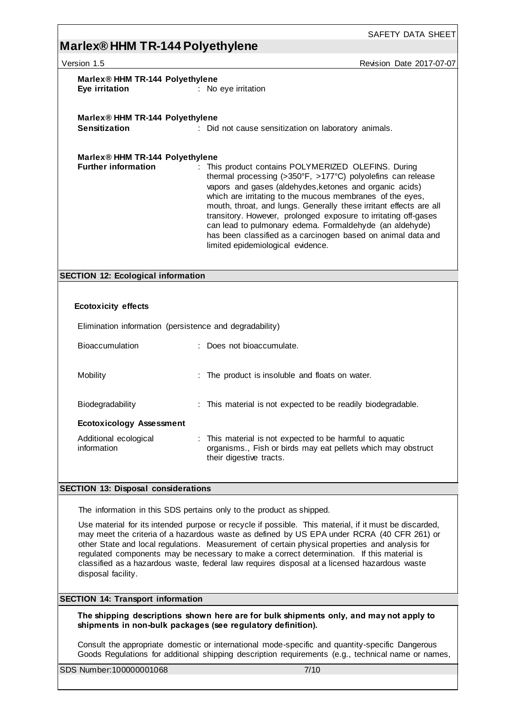## **Marlex® HHM TR-144 Polyethylene**

| Version 1.5                                                                                                                                                                                                                                                                                                                                                                                                                                                                                                                                                                                       | <b>Revision Date 2017-07-07</b>                                                                                                                                                                                                                                                                                                                                                                                                                                                                                                                     |  |
|---------------------------------------------------------------------------------------------------------------------------------------------------------------------------------------------------------------------------------------------------------------------------------------------------------------------------------------------------------------------------------------------------------------------------------------------------------------------------------------------------------------------------------------------------------------------------------------------------|-----------------------------------------------------------------------------------------------------------------------------------------------------------------------------------------------------------------------------------------------------------------------------------------------------------------------------------------------------------------------------------------------------------------------------------------------------------------------------------------------------------------------------------------------------|--|
| Marlex <sup>®</sup> HHM TR-144 Polyethylene<br>Eye irritation                                                                                                                                                                                                                                                                                                                                                                                                                                                                                                                                     | : No eye irritation                                                                                                                                                                                                                                                                                                                                                                                                                                                                                                                                 |  |
| Marlex <sup>®</sup> HHM TR-144 Polyethylene<br><b>Sensitization</b>                                                                                                                                                                                                                                                                                                                                                                                                                                                                                                                               | : Did not cause sensitization on laboratory animals.                                                                                                                                                                                                                                                                                                                                                                                                                                                                                                |  |
| Marlex <sup>®</sup> HHM TR-144 Polyethylene<br><b>Further information</b>                                                                                                                                                                                                                                                                                                                                                                                                                                                                                                                         | : This product contains POLYMERIZED OLEFINS. During<br>thermal processing (>350°F, >177°C) polyolefins can release<br>vapors and gases (aldehydes, ketones and organic acids)<br>which are irritating to the mucous membranes of the eyes,<br>mouth, throat, and lungs. Generally these irritant effects are all<br>transitory. However, prolonged exposure to irritating off-gases<br>can lead to pulmonary edema. Formaldehyde (an aldehyde)<br>has been classified as a carcinogen based on animal data and<br>limited epidemiological evidence. |  |
| <b>SECTION 12: Ecological information</b>                                                                                                                                                                                                                                                                                                                                                                                                                                                                                                                                                         |                                                                                                                                                                                                                                                                                                                                                                                                                                                                                                                                                     |  |
| <b>Ecotoxicity effects</b>                                                                                                                                                                                                                                                                                                                                                                                                                                                                                                                                                                        | Elimination information (persistence and degradability)                                                                                                                                                                                                                                                                                                                                                                                                                                                                                             |  |
| Bioaccumulation                                                                                                                                                                                                                                                                                                                                                                                                                                                                                                                                                                                   | : Does not bioaccumulate.                                                                                                                                                                                                                                                                                                                                                                                                                                                                                                                           |  |
| Mobility                                                                                                                                                                                                                                                                                                                                                                                                                                                                                                                                                                                          | : The product is insoluble and floats on water.                                                                                                                                                                                                                                                                                                                                                                                                                                                                                                     |  |
| Biodegradability                                                                                                                                                                                                                                                                                                                                                                                                                                                                                                                                                                                  | : This material is not expected to be readily biodegradable.                                                                                                                                                                                                                                                                                                                                                                                                                                                                                        |  |
| <b>Ecotoxicology Assessment</b>                                                                                                                                                                                                                                                                                                                                                                                                                                                                                                                                                                   |                                                                                                                                                                                                                                                                                                                                                                                                                                                                                                                                                     |  |
| Additional ecological<br>information                                                                                                                                                                                                                                                                                                                                                                                                                                                                                                                                                              | : This material is not expected to be harmful to aquatic<br>organisms., Fish or birds may eat pellets which may obstruct<br>their digestive tracts.                                                                                                                                                                                                                                                                                                                                                                                                 |  |
| <b>SECTION 13: Disposal considerations</b>                                                                                                                                                                                                                                                                                                                                                                                                                                                                                                                                                        |                                                                                                                                                                                                                                                                                                                                                                                                                                                                                                                                                     |  |
|                                                                                                                                                                                                                                                                                                                                                                                                                                                                                                                                                                                                   |                                                                                                                                                                                                                                                                                                                                                                                                                                                                                                                                                     |  |
| The information in this SDS pertains only to the product as shipped.<br>Use material for its intended purpose or recycle if possible. This material, if it must be discarded,<br>may meet the criteria of a hazardous waste as defined by US EPA under RCRA (40 CFR 261) or<br>other State and local regulations. Measurement of certain physical properties and analysis for<br>regulated components may be necessary to make a correct determination. If this material is<br>classified as a hazardous waste, federal law requires disposal at a licensed hazardous waste<br>disposal facility. |                                                                                                                                                                                                                                                                                                                                                                                                                                                                                                                                                     |  |
| <b>SECTION 14: Transport information</b>                                                                                                                                                                                                                                                                                                                                                                                                                                                                                                                                                          |                                                                                                                                                                                                                                                                                                                                                                                                                                                                                                                                                     |  |
|                                                                                                                                                                                                                                                                                                                                                                                                                                                                                                                                                                                                   | The shipping descriptions shown here are for bulk shipments only, and may not apply to<br>shipments in non-bulk packages (see regulatory definition).                                                                                                                                                                                                                                                                                                                                                                                               |  |
|                                                                                                                                                                                                                                                                                                                                                                                                                                                                                                                                                                                                   | Consult the appropriate domestic or international mode-specific and quantity-specific Dangerous<br>Goods Regulations for additional shipping description requirements (e.g., technical name or names,                                                                                                                                                                                                                                                                                                                                               |  |

SDS Number:100000001068 7/10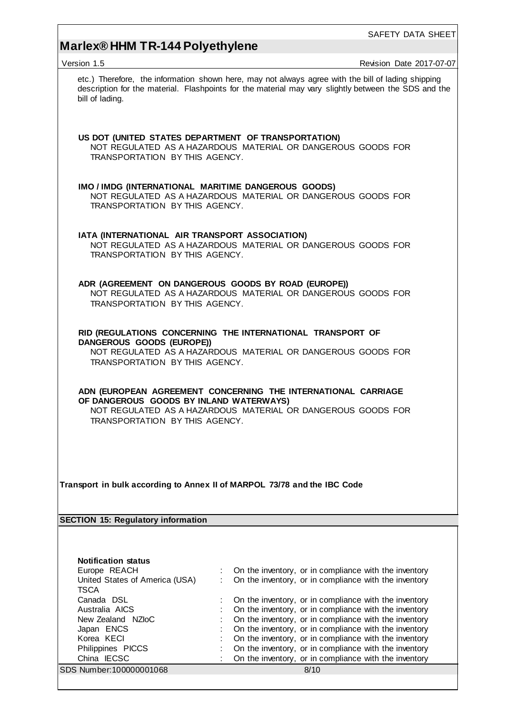# **Marlex® HHM TR-144 Polyethylene**

| Version 1.5                                                                                                                                                                                                | Revision Date 2017-07-07                                                                                                                                                                                                                                                                  |  |  |  |  |
|------------------------------------------------------------------------------------------------------------------------------------------------------------------------------------------------------------|-------------------------------------------------------------------------------------------------------------------------------------------------------------------------------------------------------------------------------------------------------------------------------------------|--|--|--|--|
| bill of lading.                                                                                                                                                                                            | etc.) Therefore, the information shown here, may not always agree with the bill of lading shipping<br>description for the material. Flashpoints for the material may vary slightly between the SDS and the                                                                                |  |  |  |  |
| US DOT (UNITED STATES DEPARTMENT OF TRANSPORTATION)<br>TRANSPORTATION BY THIS AGENCY.                                                                                                                      | NOT REGULATED AS A HAZARDOUS MATERIAL OR DANGEROUS GOODS FOR                                                                                                                                                                                                                              |  |  |  |  |
| IMO / IMDG (INTERNATIONAL MARITIME DANGEROUS GOODS)<br>TRANSPORTATION BY THIS AGENCY.                                                                                                                      | NOT REGULATED AS A HAZARDOUS MATERIAL OR DANGEROUS GOODS FOR                                                                                                                                                                                                                              |  |  |  |  |
| IATA (INTERNATIONAL AIR TRANSPORT ASSOCIATION)<br>TRANSPORTATION BY THIS AGENCY.                                                                                                                           | NOT REGULATED AS A HAZARDOUS MATERIAL OR DANGEROUS GOODS FOR                                                                                                                                                                                                                              |  |  |  |  |
| ADR (AGREEMENT ON DANGEROUS GOODS BY ROAD (EUROPE))<br>NOT REGULATED AS A HAZARDOUS MATERIAL OR DANGEROUS GOODS FOR<br>TRANSPORTATION BY THIS AGENCY.                                                      |                                                                                                                                                                                                                                                                                           |  |  |  |  |
| RID (REGULATIONS CONCERNING THE INTERNATIONAL TRANSPORT OF<br>DANGEROUS GOODS (EUROPE))<br>NOT REGULATED AS A HAZARDOUS MATERIAL OR DANGEROUS GOODS FOR<br>TRANSPORTATION BY THIS AGENCY.                  |                                                                                                                                                                                                                                                                                           |  |  |  |  |
| ADN (EUROPEAN AGREEMENT CONCERNING THE INTERNATIONAL CARRIAGE<br>OF DANGEROUS GOODS BY INLAND WATERWAYS)<br>NOT REGULATED AS A HAZARDOUS MATERIAL OR DANGEROUS GOODS FOR<br>TRANSPORTATION BY THIS AGENCY. |                                                                                                                                                                                                                                                                                           |  |  |  |  |
| Transport in bulk according to Annex II of MARPOL 73/78 and the IBC Code                                                                                                                                   |                                                                                                                                                                                                                                                                                           |  |  |  |  |
| <b>SECTION 15: Regulatory information</b>                                                                                                                                                                  |                                                                                                                                                                                                                                                                                           |  |  |  |  |
|                                                                                                                                                                                                            |                                                                                                                                                                                                                                                                                           |  |  |  |  |
| <b>Notification status</b><br>Europe REACH<br>United States of America (USA)<br><b>TSCA</b>                                                                                                                | On the inventory, or in compliance with the inventory<br>On the inventory, or in compliance with the inventory                                                                                                                                                                            |  |  |  |  |
| Canada DSL<br>Australia AICS<br>New Zealand NZloC<br>Japan ENCS<br>Korea KECI                                                                                                                              | On the inventory, or in compliance with the inventory<br>On the inventory, or in compliance with the inventory<br>On the inventory, or in compliance with the inventory<br>On the inventory, or in compliance with the inventory<br>On the inventory, or in compliance with the inventory |  |  |  |  |
| Philippines PICCS<br>China IECSC                                                                                                                                                                           | On the inventory, or in compliance with the inventory<br>On the inventory, or in compliance with the inventory                                                                                                                                                                            |  |  |  |  |
| SDS Number:100000001068                                                                                                                                                                                    | 8/10                                                                                                                                                                                                                                                                                      |  |  |  |  |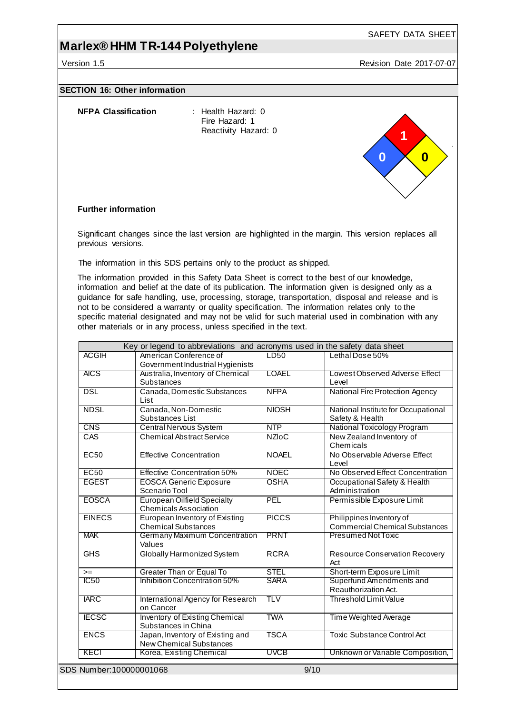### **Marlex® HHM TR-144 Polyethylene**

Version 1.5 Revision Date 2017-07-07

SAFETY DATA SHEET

#### **SECTION 16: Other information**

| NFPA Classification | Heal |
|---------------------|------|
|                     |      |

**Ith Hazard: 0** Fire Hazard: 1 Reactivity Hazard: 0



#### **Further information**

Significant changes since the last version are highlighted in the margin. This version replaces all previous versions.

The information in this SDS pertains only to the product as shipped.

The information provided in this Safety Data Sheet is correct to the best of our knowledge, information and belief at the date of its publication. The information given is designed only as a guidance for safe handling, use, processing, storage, transportation, disposal and release and is not to be considered a warranty or quality specification. The information relates only to the specific material designated and may not be valid for such material used in combination with any other materials or in any process, unless specified in the text.

|               | Key or legend to abbreviations and acronyms used in the safety data sheet |              |                                                                   |
|---------------|---------------------------------------------------------------------------|--------------|-------------------------------------------------------------------|
| <b>ACGIH</b>  | American Conference of<br>Government Industrial Hygienists                | LD50         | Lethal Dose 50%                                                   |
| <b>AICS</b>   | Australia, Inventory of Chemical<br>Substances                            | <b>LOAEL</b> | Lowest Observed Adverse Effect<br>Level                           |
| <b>DSL</b>    | Canada, Domestic Substances<br>List                                       | <b>NFPA</b>  | National Fire Protection Agency                                   |
| <b>NDSL</b>   | Canada, Non-Domestic<br>Substances List                                   | <b>NIOSH</b> | National Institute for Occupational<br>Safety & Health            |
| <b>CNS</b>    | <b>Central Nervous System</b>                                             | <b>NTP</b>   | National Toxicology Program                                       |
| CAS           | <b>Chemical Abstract Service</b>                                          | <b>NZIoC</b> | New Zealand Inventory of<br>Chemicals                             |
| EC50          | <b>Effective Concentration</b>                                            | <b>NOAEL</b> | No Observable Adverse Effect<br>Level                             |
| EC50          | <b>Effective Concentration 50%</b>                                        | <b>NOEC</b>  | No Observed Effect Concentration                                  |
| <b>EGEST</b>  | <b>EOSCA Generic Exposure</b><br>Scenario Tool                            | <b>OSHA</b>  | Occupational Safety & Health<br>Administration                    |
| <b>EOSCA</b>  | <b>European Oilfield Specialty</b><br>Chemicals Association               | PEL          | Permissible Exposure Limit                                        |
| <b>EINECS</b> | European Inventory of Existing<br><b>Chemical Substances</b>              | <b>PICCS</b> | Philippines Inventory of<br><b>Commercial Chemical Substances</b> |
| <b>MAK</b>    | Germany Maximum Concentration<br>Values                                   | <b>PRNT</b>  | Presumed Not Toxic                                                |
| <b>GHS</b>    | Globally Harmonized System                                                | <b>RCRA</b>  | <b>Resource Conservation Recovery</b><br>Act                      |
| $>=$          | Greater Than or Equal To                                                  | <b>STEL</b>  | Short-term Exposure Limit                                         |
| IC50          | Inhibition Concentration 50%                                              | <b>SARA</b>  | Superfund Amendments and<br>Reauthorization Act.                  |
| <b>IARC</b>   | International Agency for Research<br>on Cancer                            | TLV          | <b>Threshold Limit Value</b>                                      |
| <b>IECSC</b>  | <b>Inventory of Existing Chemical</b><br>Substances in China              | <b>TWA</b>   | Time Weighted Average                                             |
| <b>ENCS</b>   | Japan, Inventory of Existing and<br><b>New Chemical Substances</b>        | <b>TSCA</b>  | <b>Toxic Substance Control Act</b>                                |
|               | Korea, Existing Chemical                                                  | <b>UVCB</b>  | Unknown or Variable Composition,                                  |